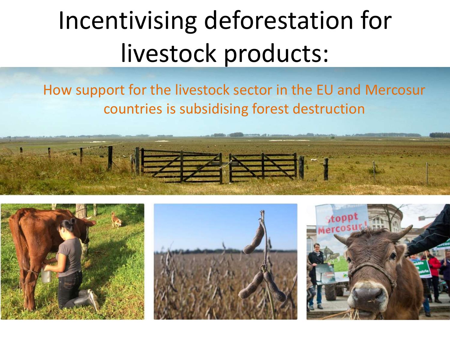# Incentivising deforestation for livestock products:

### How support for the livestock sector in the EU and Mercosur countries is subsidising forest destruction



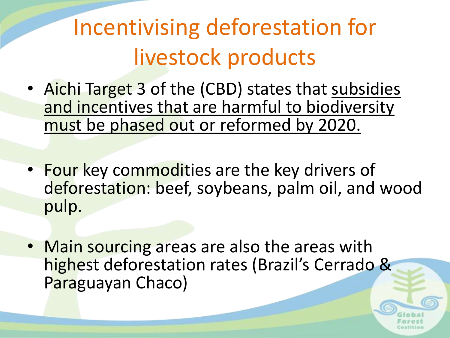## Incentivising deforestation for livestock products

- Aichi Target 3 of the (CBD) states that subsidies and incentives that are harmful to biodiversity must be phased out or reformed by 2020.
- Four key commodities are the key drivers of deforestation: beef, soybeans, palm oil, and wood pulp.
- Main sourcing areas are also the areas with highest deforestation rates (Brazil's Cerrado & Paraguayan Chaco)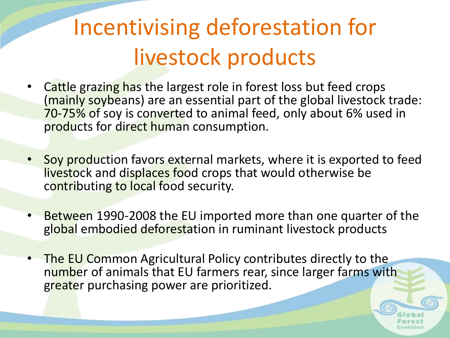## Incentivising deforestation for livestock products

- Cattle grazing has the largest role in forest loss but feed crops (mainly soybeans) are an essential part of the global livestock trade: 70-75% of soy is converted to animal feed, only about 6% used in products for direct human consumption.
- Soy production favors external markets, where it is exported to feed livestock and displaces food crops that would otherwise be contributing to local food security.
- Between 1990-2008 the EU imported more than one quarter of the global embodied deforestation in ruminant livestock products
- The EU Common Agricultural Policy contributes directly to the number of animals that EU farmers rear, since larger farms with greater purchasing power are prioritized.

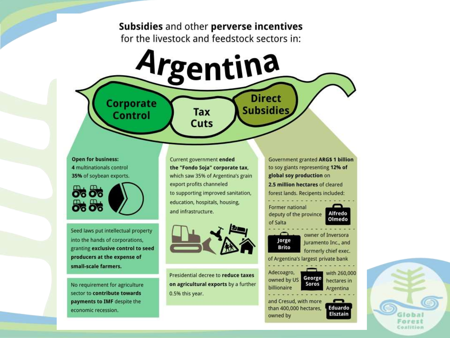#### Subsidies and other perverse incentives for the livestock and feedstock sectors in:

Argentina

**Tax** 

Cuts

**Open for business:** 4 multinationals control 35% of soybean exports.

Corporate

**Control** 

0600 මිස් මිස

Seed laws put intellectual property into the hands of corporations, granting exclusive control to seed producers at the expense of small-scale farmers.

No requirement for agriculture sector to contribute towards payments to IMF despite the economic recession.

Current government ended the "Fondo Soja" corporate tax, which saw 35% of Argentina's grain export profits channeled to supporting improved sanitation, education, hospitals, housing, and infrastructure.



Presidential decree to reduce taxes on agricultural exports by a further 0.5% this year.

**Government granted ARG\$ 1 billion** to soy giants representing 12% of global soy production on 2.5 million hectares of cleared forest lands. Recipents included:

**Direct** 

**Subsidies** 



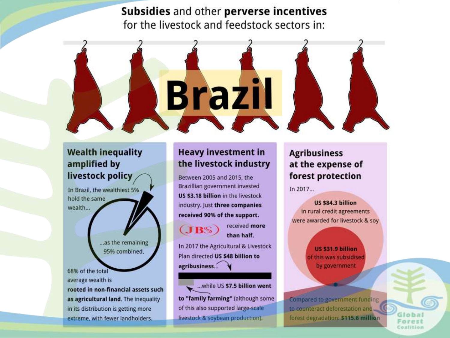Subsidies and other perverse incentives for the livestock and feedstock sectors in:



#### **Wealth inequality** amplified by livestock policy

In Brazil, the wealthiest 5% hold the same wealth...

> ...as the remaining 95% combined.

68% of the total average wealth is

rooted in non-financial assets such as agricultural land. The inequality in its distribution is getting more extreme, with fewer landholders.

#### **Heavy investment in** the livestock industry

Between 2005 and 2015, the Brazillian government invested US \$3.18 billion in the livestock industry. Just three companies received 90% of the support.



received more than half.

In 2017 the Agricultural & Livestock Plan directed US \$48 billion to agribusiness...

... while US \$7.5 billion went to "family farming" (although some of this also supported large-scale livestock & soybean production).

#### **Agribusiness** at the expense of forest protection

In 2017.

US \$84.3 billion in rural credit agreements were awarded for livestock & soy

> US \$31.9 billion of this was subsidised by government

Compared to government funding to counteract deforestation and forest degradation: \$115.6 million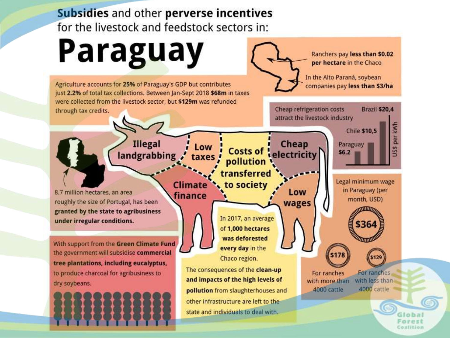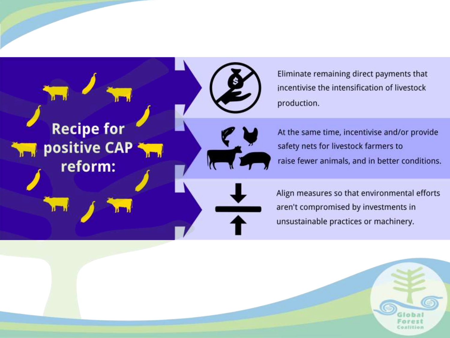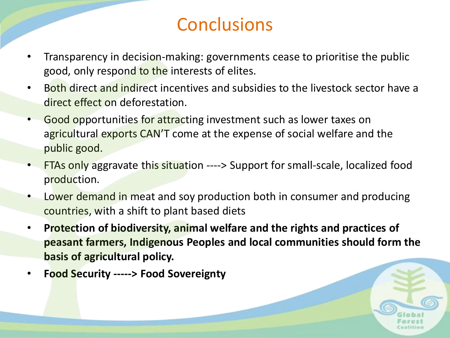### **Conclusions**

- Transparency in decision-making: governments cease to prioritise the public good, only respond to the interests of elites.
- Both direct and indirect incentives and subsidies to the livestock sector have a direct effect on deforestation.
- Good opportunities for attracting investment such as lower taxes on agricultural exports CAN'T come at the expense of social welfare and the public good.
- FTAs only aggravate this situation ----> Support for small-scale, localized food production.
- Lower demand in meat and soy production both in consumer and producing countries, with a shift to plant based diets
- **Protection of biodiversity, animal welfare and the rights and practices of peasant farmers, Indigenous Peoples and local communities should form the basis of agricultural policy.**
- **Food Security -----> Food Sovereignty**